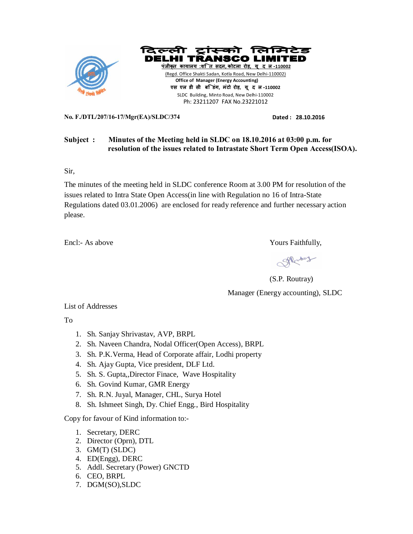



(Regd. Office Shakti Sadan, Kotla Road, New Delhi-110002)  **Office of Manager (Energy Accounting) एस एल डी सी बि डंग, मंटो रोड़, यू द ल-110002**  SLDC Building, Minto Road, New Delhi-110002 Ph: 23211207 FAX No.23221012

**No. F./DTL/207/16-17/Mgr(EA)/SLDC/374 Dated : 28.10.2016** 

# **Subject : Minutes of the Meeting held in SLDC on 18.10.2016 at 03:00 p.m. for resolution of the issues related to Intrastate Short Term Open Access(ISOA).**

Sir,

The minutes of the meeting held in SLDC conference Room at 3.00 PM for resolution of the issues related to Intra State Open Access(in line with Regulation no 16 of Intra-State Regulations dated 03.01.2006) are enclosed for ready reference and further necessary action please.

Encl:- As above Yours Faithfully,

SPRENtray

(S.P. Routray) Manager (Energy accounting), SLDC

List of Addresses

To

- 1. Sh. Sanjay Shrivastav, AVP, BRPL
- 2. Sh. Naveen Chandra, Nodal Officer(Open Access), BRPL
- 3. Sh. P.K.Verma, Head of Corporate affair, Lodhi property
- 4. Sh. Ajay Gupta, Vice president, DLF Ltd.
- 5. Sh. S. Gupta,,Director Finace, Wave Hospitality
- 6. Sh. Govind Kumar, GMR Energy
- 7. Sh. R.N. Juyal, Manager, CHL, Surya Hotel
- 8. Sh. Ishmeet Singh, Dy. Chief Engg., Bird Hospitality

Copy for favour of Kind information to:-

- 1. Secretary, DERC
- 2. Director (Oprn), DTL
- 3. GM(T) (SLDC)
- 4. ED(Engg), DERC
- 5. Addl. Secretary (Power) GNCTD
- 6. CEO, BRPL
- 7. DGM(SO),SLDC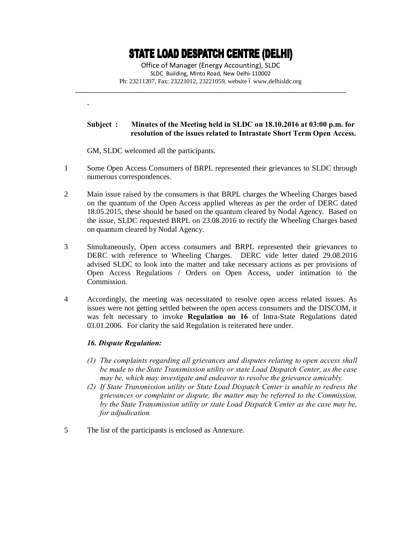# **STATE LOAD DESPATCH CENTRE (DELHI)**

Office of Manager (Energy Accounting), SLDC SLDC Building, Minto Road, New Delhi-110002 Ph: 23211207, Fax: 23221012, 23221059, website 6 www.delhisldc.org

\_\_\_\_\_\_\_\_\_\_\_\_\_\_\_\_\_\_\_\_\_\_\_\_\_\_\_\_\_\_\_\_\_\_\_\_\_\_\_\_\_\_\_\_\_\_\_\_\_\_\_\_\_\_\_\_\_\_\_\_\_\_\_\_\_\_\_\_\_\_\_\_\_\_\_\_\_\_

## **Subject : Minutes of the Meeting held in SLDC on 18.10.2016 at 03:00 p.m. for resolution of the issues related to Intrastate Short Term Open Access.**

GM, SLDC welcomed all the participants.

**`**

- 1 Some Open Access Consumers of BRPL represented their grievances to SLDC through numerous correspondences.
- 2 Main issue raised by the consumers is that BRPL charges the Wheeling Charges based on the quantum of the Open Access applied whereas as per the order of DERC dated 18.05.2015, these should be based on the quantum cleared by Nodal Agency. Based on the issue, SLDC requested BRPL on 23.08.2016 to rectify the Wheeling Charges based on quantum cleared by Nodal Agency.
- 3 Simultaneously, Open access consumers and BRPL represented their grievances to DERC with reference to Wheeling Charges. DERC vide letter dated 29.08.2016 advised SLDC to look into the matter and take necessary actions as per provisions of Open Access Regulations / Orders on Open Access, under intimation to the Commission.
- 4 Accordingly, the meeting was necessitated to resolve open access related issues. As issues were not getting settled between the open access consumers and the DISCOM, it was felt necessary to invoke **Regulation no 16** of Intra-State Regulations dated 03.01.2006. For clarity the said Regulation is reiterated here under.

# *16. Dispute Regulation:*

- *(1) The complaints regarding all grievances and disputes relating to open access shall be made to the State Transmission utility or state Load Dispatch Center, as the case may be, which may investigate and endeavor to resolve the grievance amicably.*
- *(2) If State Transmission utility or State Load Dispatch Center is unable to redress the grievances or complaint or dispute, the matter may be referred to the Commission, by the State Transmission utility or state Load Dispatch Center as the case may be, for adjudication.*
- 5 The list of the participants is enclosed as Annexure.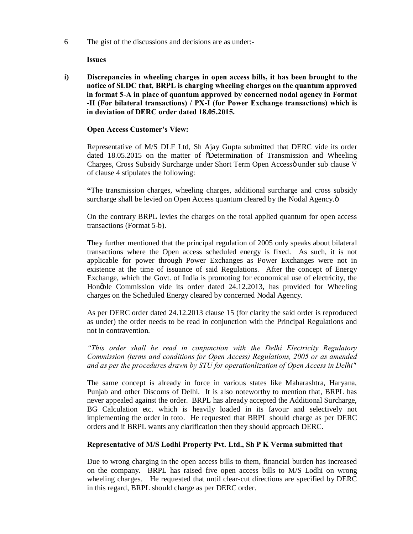6 The gist of the discussions and decisions are as under:-

**Issues**

**i) Discrepancies in wheeling charges in open access bills, it has been brought to the notice of SLDC that, BRPL is charging wheeling charges on the quantum approved in format 5-A in place of quantum approved by concerned nodal agency in Format -II (For bilateral transactions) / PX-I (for Power Exchange transactions) which is in deviation of DERC order dated 18.05.2015.**

## **Open Access Customer's View:**

Representative of M/S DLF Ltd, Sh Ajay Gupta submitted that DERC vide its order dated 18.05.2015 on the matter of  $\tilde{O}$ Determination of Transmission and Wheeling Charges, Cross Subsidy Surcharge under Short Term Open Accessö under sub clause V of clause 4 stipulates the following:

**"**The transmission charges, wheeling charges, additional surcharge and cross subsidy surcharge shall be levied on Open Access quantum cleared by the Nodal Agency. $\ddot{o}$ 

On the contrary BRPL levies the charges on the total applied quantum for open access transactions (Format 5-b).

They further mentioned that the principal regulation of 2005 only speaks about bilateral transactions where the Open access scheduled energy is fixed. As such, it is not applicable for power through Power Exchanges as Power Exchanges were not in existence at the time of issuance of said Regulations. After the concept of Energy Exchange, which the Govt. of India is promoting for economical use of electricity, the Hong ble Commission vide its order dated 24.12.2013, has provided for Wheeling charges on the Scheduled Energy cleared by concerned Nodal Agency.

As per DERC order dated 24.12.2013 clause 15 (for clarity the said order is reproduced as under) the order needs to be read in conjunction with the Principal Regulations and not in contravention.

*"This order shall be read in conjunction with the Delhi Electricity Regulatory Commission (terms and conditions for Open Access) Regulations, 2005 or as amended and as per the procedures drawn by STU for operationlization of Open Access in Delhi"*

The same concept is already in force in various states like Maharashtra, Haryana, Punjab and other Discoms of Delhi. It is also noteworthy to mention that, BRPL has never appealed against the order. BRPL has already accepted the Additional Surcharge, BG Calculation etc. which is heavily loaded in its favour and selectively not implementing the order in toto. He requested that BRPL should charge as per DERC orders and if BRPL wants any clarification then they should approach DERC.

### **Representative of M/S Lodhi Property Pvt. Ltd., Sh P K Verma submitted that**

Due to wrong charging in the open access bills to them, financial burden has increased on the company. BRPL has raised five open access bills to M/S Lodhi on wrong wheeling charges. He requested that until clear-cut directions are specified by DERC in this regard, BRPL should charge as per DERC order.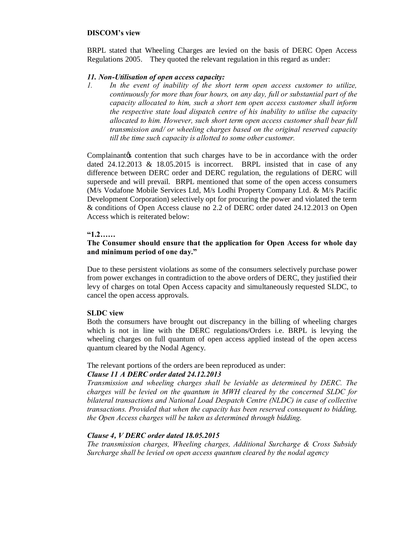### **DISCOM's view**

BRPL stated that Wheeling Charges are levied on the basis of DERC Open Access Regulations 2005. They quoted the relevant regulation in this regard as under:

### *11. Non-Utilisation of open access capacity:*

*1. In the event of inability of the short term open access customer to utilize, continuously for more than four hours, on any day, full or substantial part of the capacity allocated to him, such a short tem open access customer shall inform the respective state load dispatch centre of his inability to utilise the capacity allocated to him. However, such short term open access customer shall bear full transmission and/ or wheeling charges based on the original reserved capacity till the time such capacity is allotted to some other customer.*

Complainantos contention that such charges have to be in accordance with the order dated  $24.12.2013 \& 18.05.2015$  is incorrect. BRPL insisted that in case of any difference between DERC order and DERC regulation, the regulations of DERC will supersede and will prevail. BRPL mentioned that some of the open access consumers (M/s Vodafone Mobile Services Ltd, M/s Lodhi Property Company Ltd. & M/s Pacific Development Corporation) selectively opt for procuring the power and violated the term & conditions of Open Access clause no 2.2 of DERC order dated 24.12.2013 on Open Access which is reiterated below:

### **"1.2……**

## **The Consumer should ensure that the application for Open Access for whole day and minimum period of one day."**

Due to these persistent violations as some of the consumers selectively purchase power from power exchanges in contradiction to the above orders of DERC, they justified their levy of charges on total Open Access capacity and simultaneously requested SLDC, to cancel the open access approvals.

### **SLDC view**

Both the consumers have brought out discrepancy in the billing of wheeling charges which is not in line with the DERC regulations/Orders i.e. BRPL is levying the wheeling charges on full quantum of open access applied instead of the open access quantum cleared by the Nodal Agency.

### The relevant portions of the orders are been reproduced as under:

### *Clause 11 A DERC order dated 24.12.2013*

*Transmission and wheeling charges shall be leviable as determined by DERC. The charges will be levied on the quantum in MWH cleared by the concerned SLDC for bilateral transactions and National Load Despatch Centre (NLDC) in case of collective transactions. Provided that when the capacity has been reserved consequent to bidding, the Open Access charges will be taken as determined through bidding.*

# *Clause 4, V DERC order dated 18.05.2015*

*The transmission charges, Wheeling charges, Additional Surcharge & Cross Subsidy Surcharge shall be levied on open access quantum cleared by the nodal agency*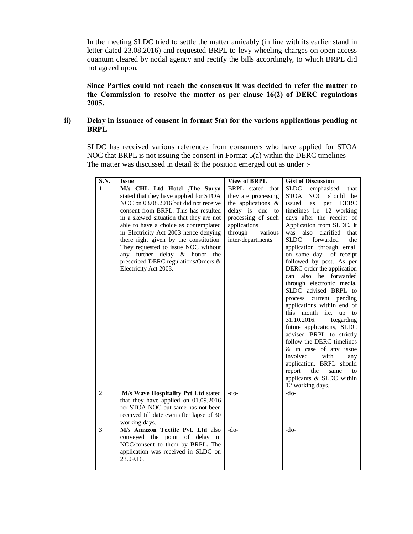In the meeting SLDC tried to settle the matter amicably (in line with its earlier stand in letter dated 23.08.2016) and requested BRPL to levy wheeling charges on open access quantum cleared by nodal agency and rectify the bills accordingly, to which BRPL did not agreed upon.

**Since Parties could not reach the consensus it was decided to refer the matter to the Commission to resolve the matter as per clause 16(2) of DERC regulations 2005.**

## **ii) Delay in issuance of consent in format 5(a) for the various applications pending at BRPL**

SLDC has received various references from consumers who have applied for STOA NOC that BRPL is not issuing the consent in Format 5(a) within the DERC timelines The matter was discussed in detail  $\&$  the position emerged out as under :-

| S.N.         | <b>Issue</b>                                                                                                                                                                                                                                                                                                                                                                                                                                                            | <b>View of BRPL</b>                                                                                                                                                  | <b>Gist of Discussion</b>                                                                                                                                                                                                                                                                                                                                                                                                                                                                                                                                                                                                                                                                                                                                                                                                         |
|--------------|-------------------------------------------------------------------------------------------------------------------------------------------------------------------------------------------------------------------------------------------------------------------------------------------------------------------------------------------------------------------------------------------------------------------------------------------------------------------------|----------------------------------------------------------------------------------------------------------------------------------------------------------------------|-----------------------------------------------------------------------------------------------------------------------------------------------------------------------------------------------------------------------------------------------------------------------------------------------------------------------------------------------------------------------------------------------------------------------------------------------------------------------------------------------------------------------------------------------------------------------------------------------------------------------------------------------------------------------------------------------------------------------------------------------------------------------------------------------------------------------------------|
| 1            | M/s CHL Ltd Hotel ,The Surya<br>stated that they have applied for STOA<br>NOC on 03.08.2016 but did not receive<br>consent from BRPL. This has resulted<br>in a skewed situation that they are not<br>able to have a choice as contemplated<br>in Electricity Act 2003 hence denying<br>there right given by the constitution.<br>They requested to issue NOC without<br>any further delay & honor the<br>prescribed DERC regulations/Orders &<br>Electricity Act 2003. | BRPL stated that<br>they are processing<br>the applications $\&$<br>delay is due to<br>processing of such<br>applications<br>through<br>various<br>inter-departments | <b>SLDC</b><br>emphasised<br>that<br>STOA NOC should be<br>issued<br>per<br><b>DERC</b><br>as<br>timelines i.e. 12 working<br>days after the receipt of<br>Application from SLDC. It<br>also<br>that<br>clarified<br>was<br>forwarded<br><b>SLDC</b><br>the<br>application through email<br>on same day of receipt<br>followed by post. As per<br>DERC order the application<br>also be forwarded<br>can<br>through electronic media.<br>SLDC advised BRPL to<br>process current pending<br>applications within end of<br>this month i.e. up to<br>31.10.2016.<br>Regarding<br>future applications, SLDC<br>advised BRPL to strictly<br>follow the DERC timelines<br>& in case of any issue<br>involved<br>with<br>any<br>application. BRPL should<br>report<br>the<br>same<br>to<br>applicants & SLDC within<br>12 working days. |
| $\mathbf{2}$ | M/s Wave Hospitality Pvt Ltd stated<br>that they have applied on $01.09.2016$<br>for STOA NOC but same has not been<br>received till date even after lapse of 30<br>working days.                                                                                                                                                                                                                                                                                       | $-do-$                                                                                                                                                               | $-do-$                                                                                                                                                                                                                                                                                                                                                                                                                                                                                                                                                                                                                                                                                                                                                                                                                            |
| 3            | M/s Amazon Textile Pvt. Ltd also<br>conveyed the point of delay in<br>NOC/consent to them by BRPL. The<br>application was received in SLDC on<br>23.09.16.                                                                                                                                                                                                                                                                                                              | $-do-$                                                                                                                                                               | $-do-$                                                                                                                                                                                                                                                                                                                                                                                                                                                                                                                                                                                                                                                                                                                                                                                                                            |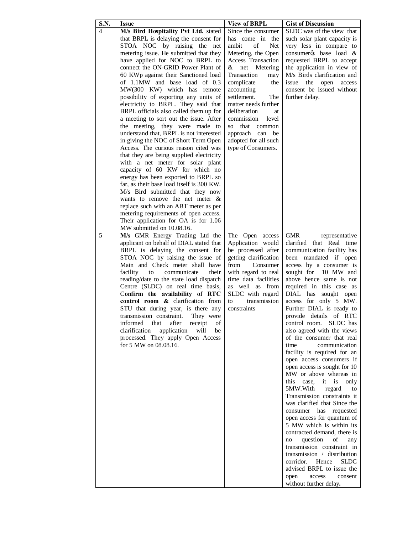| S.N. | <b>Issue</b>                                                                   | <b>View of BRPL</b>                        | <b>Gist of Discussion</b>                                   |
|------|--------------------------------------------------------------------------------|--------------------------------------------|-------------------------------------------------------------|
| 4    | M/s Bird Hospitality Pvt Ltd. stated                                           | Since the consumer                         | SLDC was of the view that                                   |
|      | that BRPL is delaying the consent for                                          | has come in the                            | such solar plant capacity is                                |
|      | STOA NOC by raising the<br>net                                                 | of<br>Net<br>ambit                         | very less in compare to                                     |
|      | metering issue. He submitted that they                                         | Metering, the Open                         | consumer to base load &                                     |
|      | have applied for NOC to BRPL to                                                | <b>Access Transaction</b>                  | requested BRPL to accept                                    |
|      | connect the ON-GRID Power Plant of                                             | Metering<br>&<br>net                       | the application in view of                                  |
|      | 60 KWp against their Sanctioned load                                           | Transaction<br>may                         | M/s Birds clarification and                                 |
|      | of 1.1MW and base load of 0.3                                                  | complicate<br>the                          | issue<br>the open<br>access                                 |
|      | MW(300 KW) which has remote                                                    | accounting                                 | consent be issued without                                   |
|      | possibility of exporting any units of<br>electricity to BRPL. They said that   | settlement.<br>The<br>matter needs further | further delay.                                              |
|      | BRPL officials also called them up for                                         | deliberation<br>at                         |                                                             |
|      | a meeting to sort out the issue. After                                         | commission<br>level                        |                                                             |
|      | the meeting, they were made to                                                 | that<br>SO.<br>common                      |                                                             |
|      | understand that, BRPL is not interested                                        | approach can<br>be                         |                                                             |
|      | in giving the NOC of Short Term Open                                           | adopted for all such                       |                                                             |
|      | Access. The curious reason cited was                                           | type of Consumers.                         |                                                             |
|      | that they are being supplied electricity                                       |                                            |                                                             |
|      | with a net meter for solar plant                                               |                                            |                                                             |
|      | capacity of 60 KW for which no                                                 |                                            |                                                             |
|      | energy has been exported to BRPL so                                            |                                            |                                                             |
|      | far, as their base load itself is 300 KW.                                      |                                            |                                                             |
|      | M/s Bird submitted that they now                                               |                                            |                                                             |
|      | wants to remove the net meter $\&$                                             |                                            |                                                             |
|      | replace such with an ABT meter as per<br>metering requirements of open access. |                                            |                                                             |
|      | Their application for OA is for 1.06                                           |                                            |                                                             |
|      | MW submitted on 10.08.16.                                                      |                                            |                                                             |
| 5    | M/s GMR Energy Trading Ltd the                                                 | The Open access                            | <b>GMR</b><br>representative                                |
|      | applicant on behalf of DIAL stated that                                        | Application would                          | clarified<br>that Real time                                 |
|      | BRPL is delaying the consent for                                               | be processed after                         | communication facility has                                  |
|      | STOA NOC by raising the issue of                                               | getting clarification                      | been mandated if open                                       |
|      | Main and Check meter shall have                                                | from<br>Consumer                           | access by a consumer is                                     |
|      | facility<br>to<br>communicate<br>their                                         | with regard to real                        | sought for 10 MW and                                        |
|      | reading/date to the state load dispatch                                        | time data facilities                       | above hence same is not                                     |
|      | Centre (SLDC) on real time basis,                                              | as well as from                            | required in this case as                                    |
|      | Confirm the availability of RTC<br>control room & clarification from           | SLDC with regard<br>transmission<br>to     | DIAL has sought open<br>access for only 5 MW.               |
|      | STU that during year, is there any                                             | constraints                                | Further DIAL is ready to                                    |
|      | transmission constraint.<br>They were                                          |                                            | provide details of RTC                                      |
|      | informed<br>of<br>that<br>atter<br>receipt                                     |                                            | control room.<br>SLDC has                                   |
|      | clarification<br>application<br>will<br>be                                     |                                            | also agreed with the views                                  |
|      | processed. They apply Open Access                                              |                                            | of the consumer that real                                   |
|      | for 5 MW on 08.08.16.                                                          |                                            | time<br>communication                                       |
|      |                                                                                |                                            | facility is required for an                                 |
|      |                                                                                |                                            | open access consumers if                                    |
|      |                                                                                |                                            | open access is sought for 10                                |
|      |                                                                                |                                            | MW or above whereas in                                      |
|      |                                                                                |                                            | this<br>case,<br>it<br>is<br>only                           |
|      |                                                                                |                                            | 5MW.With<br>regard<br>to                                    |
|      |                                                                                |                                            | Transmission constraints it<br>was clarified that Since the |
|      |                                                                                |                                            | consumer has requested                                      |
|      |                                                                                |                                            | open access for quantum of                                  |
|      |                                                                                |                                            | 5 MW which is within its                                    |
|      |                                                                                |                                            | contracted demand, there is                                 |
|      |                                                                                |                                            | question<br>of<br>no<br>any                                 |
|      |                                                                                |                                            | transmission constraint in                                  |
|      |                                                                                |                                            | transmission / distribution                                 |
|      |                                                                                |                                            | corridor.<br>Hence<br><b>SLDC</b>                           |
|      |                                                                                |                                            | advised BRPL to issue the                                   |
|      |                                                                                |                                            | access<br>consent<br>open                                   |
|      |                                                                                |                                            | without further delay.                                      |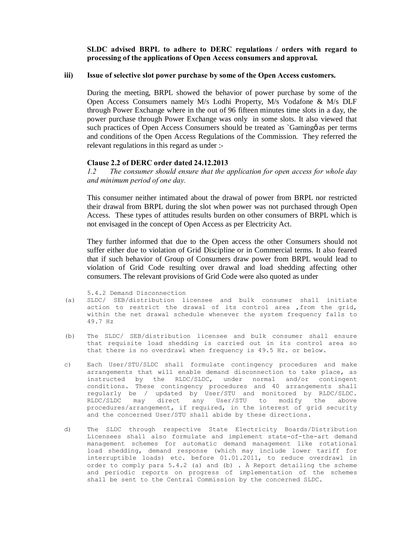**SLDC advised BRPL to adhere to DERC regulations / orders with regard to processing of the applications of Open Access consumers and approval.**

#### **iii) Issue of selective slot power purchase by some of the Open Access customers.**

During the meeting, BRPL showed the behavior of power purchase by some of the Open Access Consumers namely M/s Lodhi Property, M/s Vodafone & M/s DLF through Power Exchange where in the out of 96 fifteen minutes time slots in a day, the power purchase through Power Exchange was only in some slots. It also viewed that such practices of Open Access Consumers should be treated as `Gaming as per terms and conditions of the Open Access Regulations of the Commission. They referred the relevant regulations in this regard as under :-

#### **Clause 2.2 of DERC order dated 24.12.2013**

*1.2 The consumer should ensure that the application for open access for whole day and minimum period of one day.*

This consumer neither intimated about the drawal of power from BRPL nor restricted their drawal from BRPL during the slot when power was not purchased through Open Access. These types of attitudes results burden on other consumers of BRPL which is not envisaged in the concept of Open Access as per Electricity Act.

They further informed that due to the Open access the other Consumers should not suffer either due to violation of Grid Discipline or in Commercial terms. It also feared that if such behavior of Group of Consumers draw power from BRPL would lead to violation of Grid Code resulting over drawal and load shedding affecting other consumers. The relevant provisions of Grid Code were also quoted as under

5.4.2 Demand Disconnection

- (a) SLDC/ SEB/distribution licensee and bulk consumer shall initiate action to restrict the drawal of its control area ,from the grid, within the net drawal schedule whenever the system frequency falls to 49.7 Hz
- (b) The SLDC/ SEB/distribution licensee and bulk consumer shall ensure that requisite load shedding is carried out in its control area so that there is no overdrawl when frequency is 49.5 Hz. or below.
- c) Each User/STU/SLDC shall formulate contingency procedures and make arrangements that will enable demand disconnection to take place, as instructed by the RLDC/SLDC, under normal and/or contingent conditions. These contingency procedures and 40 arrangements shall regularly be / updated by User/STU and monitored by RLDC/SLDC. RLDC/SLDC may direct any User/STU to modify the above procedures/arrangement, if required, in the interest of grid security and the concerned User/STU shall abide by these directions.
- d) The SLDC through respective State Electricity Boards/Distribution Licensees shall also formulate and implement state-of-the-art demand management schemes for automatic demand management like rotational load shedding, demand response (which may include lower tariff for interruptible loads) etc. before 01.01.2011, to reduce overdrawl in order to comply para 5.4.2 (a) and (b) . A Report detailing the scheme and periodic reports on progress of implementation of the schemes shall be sent to the Central Commission by the concerned SLDC.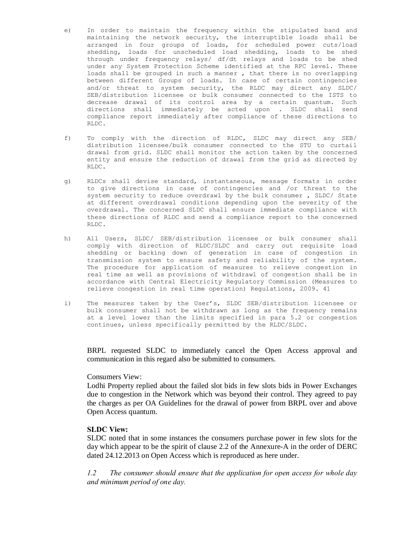- e) In order to maintain the frequency within the stipulated band and maintaining the network security, the interruptible loads shall be arranged in four groups of loads, for scheduled power cuts/load shedding, loads for unscheduled load shedding, loads to be shed through under frequency relays/ df/dt relays and loads to be shed under any System Protection Scheme identified at the RPC level. These loads shall be grouped in such a manner , that there is no overlapping between different Groups of loads. In case of certain contingencies and/or threat to system security, the RLDC may direct any SLDC/ SEB/distribution licensee or bulk consumer connected to the ISTS to decrease drawal of its control area by a certain quantum. Such directions shall immediately be acted upon . SLDC shall send compliance report immediately after compliance of these directions to RLDC.
- f) To comply with the direction of RLDC, SLDC may direct any SEB/ distribution licensee/bulk consumer connected to the STU to curtail drawal from grid. SLDC shall monitor the action taken by the concerned entity and ensure the reduction of drawal from the grid as directed by RLDC.
- g) RLDCs shall devise standard, instantaneous, message formats in order to give directions in case of contingencies and /or threat to the system security to reduce overdrawl by the bulk consumer , SLDC/ State at different overdrawal conditions depending upon the severity of the overdrawal. The concerned SLDC shall ensure immediate compliance with these directions of RLDC and send a compliance report to the concerned RLDC.
- h) All Users, SLDC/ SEB/distribution licensee or bulk consumer shall comply with direction of RLDC/SLDC and carry out requisite load shedding or backing down of generation in case of congestion in transmission system to ensure safety and reliability of the system. The procedure for application of measures to relieve congestion in real time as well as provisions of withdrawl of congestion shall be in accordance with Central Electricity Regulatory Commission (Measures to relieve congestion in real time operation) Regulations, 2009. 41
- i) The measures taken by the User's, SLDC SEB/distribution licensee or bulk consumer shall not be withdrawn as long as the frequency remains at a level lower than the limits specified in para 5.2 or congestion continues, unless specifically permitted by the RLDC/SLDC.

BRPL requested SLDC to immediately cancel the Open Access approval and communication in this regard also be submitted to consumers.

#### Consumers View:

Lodhi Property replied about the failed slot bids in few slots bids in Power Exchanges due to congestion in the Network which was beyond their control. They agreed to pay the charges as per OA Guidelines for the drawal of power from BRPL over and above Open Access quantum.

#### **SLDC View:**

SLDC noted that in some instances the consumers purchase power in few slots for the day which appear to be the spirit of clause 2.2 of the Annexure-A in the order of DERC dated 24.12.2013 on Open Access which is reproduced as here under.

*1.2 The consumer should ensure that the application for open access for whole day and minimum period of one day.*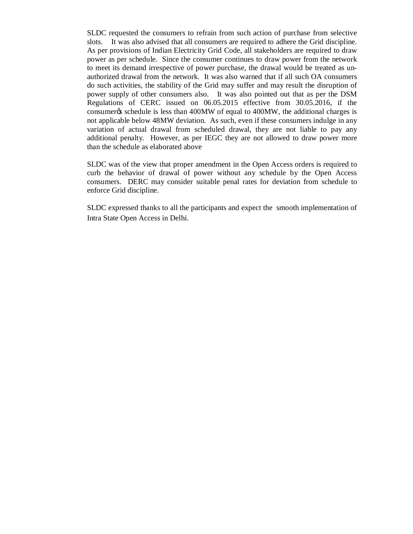SLDC requested the consumers to refrain from such action of purchase from selective slots. It was also advised that all consumers are required to adhere the Grid discipline. As per provisions of Indian Electricity Grid Code, all stakeholders are required to draw power as per schedule. Since the consumer continues to draw power from the network to meet its demand irrespective of power purchase, the drawal would be treated as unauthorized drawal from the network. It was also warned that if all such OA consumers do such activities, the stability of the Grid may suffer and may result the disruption of power supply of other consumers also. It was also pointed out that as per the DSM Regulations of CERC issued on 06.05.2015 effective from 30.05.2016, if the consumer<sub>t</sub> is less than 400 MW of equal to 400 MW, the additional charges is not applicable below 48MW deviation. As such, even if these consumers indulge in any variation of actual drawal from scheduled drawal, they are not liable to pay any additional penalty. However, as per IEGC they are not allowed to draw power more than the schedule as elaborated above

SLDC was of the view that proper amendment in the Open Access orders is required to curb the behavior of drawal of power without any schedule by the Open Access consumers. DERC may consider suitable penal rates for deviation from schedule to enforce Grid discipline.

SLDC expressed thanks to all the participants and expect the smooth implementation of Intra State Open Access in Delhi.